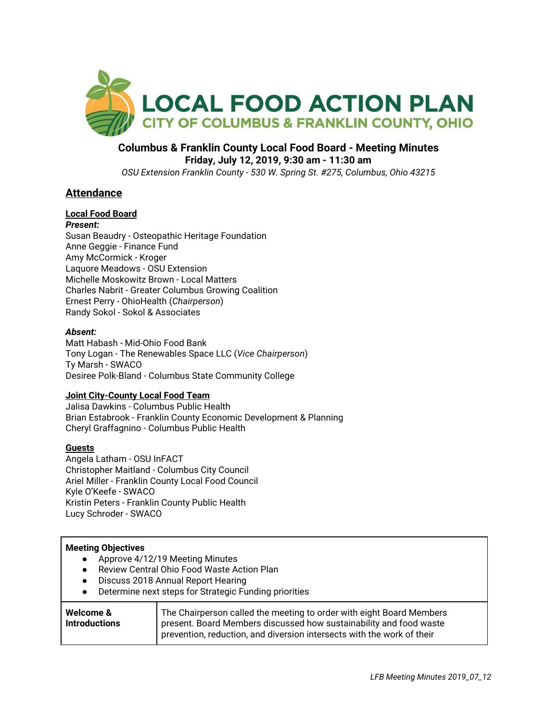

### **Columbus & Franklin County Local Food Board - Meeting Minutes Friday, July 12, 2019, 9:30 am - 11:30 am** *OSU Extension Franklin County - 530 W. Spring St. #275, Columbus, Ohio 43215*

## **Attendance**

# **Local Food Board**

## *Present:*

Susan Beaudry - Osteopathic Heritage Foundation Anne Geggie - Finance Fund Amy McCormick - Kroger Laquore Meadows - OSU Extension Michelle Moskowitz Brown - Local Matters Charles Nabrit - Greater Columbus Growing Coalition Ernest Perry - OhioHealth (*Chairperson*) Randy Sokol - Sokol & Associates

### *Absent:*

Matt Habash - Mid-Ohio Food Bank Tony Logan - The Renewables Space LLC (*Vice Chairperson*) Ty Marsh - SWACO Desiree Polk-Bland - Columbus State Community College

### **Joint City-County Local Food Team**

Jalisa Dawkins - Columbus Public Health Brian Estabrook - Franklin County Economic Development & Planning Cheryl Graffagnino - Columbus Public Health

## **Guests**

Angela Latham - OSU InFACT Christopher Maitland - Columbus City Council Ariel Miller - Franklin County Local Food Council Kyle O'Keefe - SWACO Kristin Peters - Franklin County Public Health Lucy Schroder - SWACO

### **Meeting Objectives**

- Approve 4/12/19 Meeting Minutes
- Review Central Ohio Food Waste Action Plan
- Discuss 2018 Annual Report Hearing
- Determine next steps for Strategic Funding priorities

| Welcome &            | The Chairperson called the meeting to order with eight Board Members   |
|----------------------|------------------------------------------------------------------------|
| <b>Introductions</b> | present. Board Members discussed how sustainability and food waste     |
|                      | prevention, reduction, and diversion intersects with the work of their |